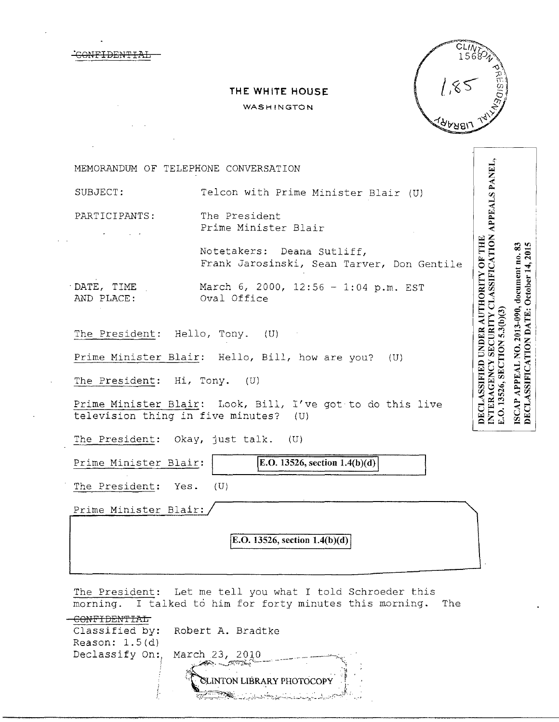|                          | THE WHITE HOUSE<br>WASHINGTON                                                                       | <b>PRESIDI</b>                                                                                                                                                                |
|--------------------------|-----------------------------------------------------------------------------------------------------|-------------------------------------------------------------------------------------------------------------------------------------------------------------------------------|
|                          |                                                                                                     |                                                                                                                                                                               |
|                          | MEMORANDUM OF TELEPHONE CONVERSATION                                                                |                                                                                                                                                                               |
| SUBJECT:                 | Telcon with Prime Minister Blair (U)                                                                |                                                                                                                                                                               |
| PARTICIPANTS:            | The President<br>Prime Minister Blair                                                               |                                                                                                                                                                               |
|                          | Notetakers: Deana Sutliff,<br>Frank Jarosinski, Sean Tarver, Don Gentile                            |                                                                                                                                                                               |
| DATE, TIME<br>AND PLACE: | March 6, 2000, $12:56 - 1:04$ p.m. EST<br>Oval Office                                               | SECURITY CLASSIFICATION APPEALS PANEL.<br>DECLASSIFIED UNDER AUTHORITY OF THE<br>ISCAP APPEAL NO. 2013-090, document no. 83<br><b>DECLASSIFICATION DATE: October 14, 2015</b> |
|                          | The President: Hello, Tony. (U)                                                                     | $5.3(b)$ $(3)$                                                                                                                                                                |
|                          | Prime Minister Blair: Hello, Bill, how are you? (U)                                                 |                                                                                                                                                                               |
| The President: Hi, Tony. | (U)                                                                                                 |                                                                                                                                                                               |
|                          | Prime Minister Blair: Look, Bill, I've got to do this live<br>television thing in five minutes? (U) | E.O. 13526, SECTION<br>INTERAGENCY                                                                                                                                            |
|                          | The President: Okay, just talk. (U)                                                                 |                                                                                                                                                                               |
| Prime Minister Blair:    | E.O. 13526, section $1.4(b)(d)$                                                                     |                                                                                                                                                                               |
| The President:           | Yes.<br>(U)                                                                                         |                                                                                                                                                                               |
| Prime Minister Blair:    |                                                                                                     |                                                                                                                                                                               |
|                          | E.O. 13526, section $1.4(b)(d)$                                                                     |                                                                                                                                                                               |

 $\bar{z}$ 

The President: Let me tell you what I told Schroeder this morning. I talked to him for forty minutes this morning. The

|                                | Classified by: Robert A. Bradtke                                                                                                                                                                                                     |
|--------------------------------|--------------------------------------------------------------------------------------------------------------------------------------------------------------------------------------------------------------------------------------|
| Reason: $1.5(d)$               |                                                                                                                                                                                                                                      |
| Declassify On:, March 23, 2010 |                                                                                                                                                                                                                                      |
|                                | <b>CONFIDENTIAL CONFIDENTIAL</b>                                                                                                                                                                                                     |
|                                | CLINTON LIBRARY PHOTOCOPY                                                                                                                                                                                                            |
|                                |                                                                                                                                                                                                                                      |
|                                | <u>Alan ya matsa ya matsa ya matsa ya matsa ya matsa ya matsa ya matsa ya matsa ya matsa ya matsa ya matsa ya matsa ya matsa ya matsa ya matsa ya matsa ya matsa ya matsa ya matsa ya matsa ya matsa ya matsa ya matsa ya matsa </u> |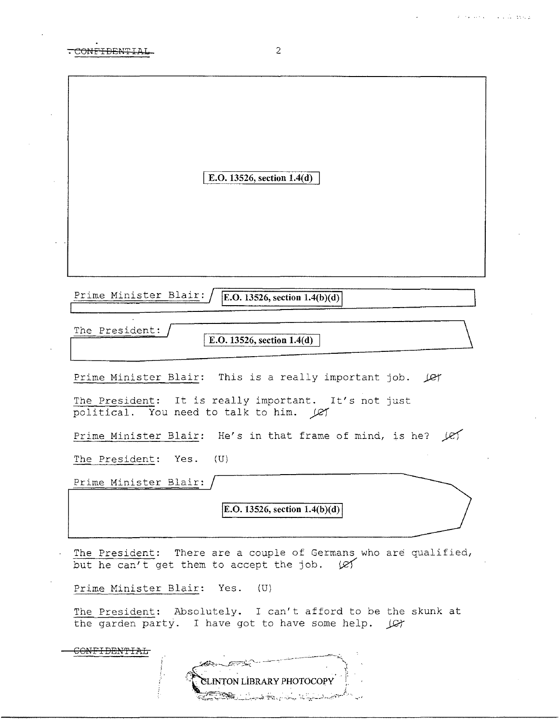$\sim$   $\alpha$ 

| <del>.CONFIDENTI</del> A<br>٠ |
|-------------------------------|

 $\bar{z}$ 

| E.O. 13526, section $1.4(d)$                                                                                              |
|---------------------------------------------------------------------------------------------------------------------------|
|                                                                                                                           |
|                                                                                                                           |
| Prime Minister Blair:                                                                                                     |
| E.O. 13526, section $1.4(b)(d)$                                                                                           |
|                                                                                                                           |
| The President:<br>E.O. 13526, section 1.4(d)                                                                              |
|                                                                                                                           |
| Prime Minister Blair: This is a really important job. Let                                                                 |
|                                                                                                                           |
| The President: It is really important. It's not just<br>political. You need to talk to him. Ley                           |
| Prime Minister Blair: He's in that frame of mind, is he?<br>les.                                                          |
|                                                                                                                           |
| The President: Yes.<br>(U)                                                                                                |
| Prime Minister Blair:                                                                                                     |
|                                                                                                                           |
| E.O. 13526, section $1.4(b)(d)$                                                                                           |
|                                                                                                                           |
| The President: There are a couple of Germans who are qualified,<br>but he can't get them to accept the job. $\varnothing$ |
| Prime Minister Blair: Yes. (U)                                                                                            |
| The President: Absolutely. I can't afford to be the skunk at<br>the garden party. I have got to have some help. (C)       |
|                                                                                                                           |
|                                                                                                                           |
| CLINTON LIBRARY PHOTOCOPY                                                                                                 |
|                                                                                                                           |

 $\overline{c}$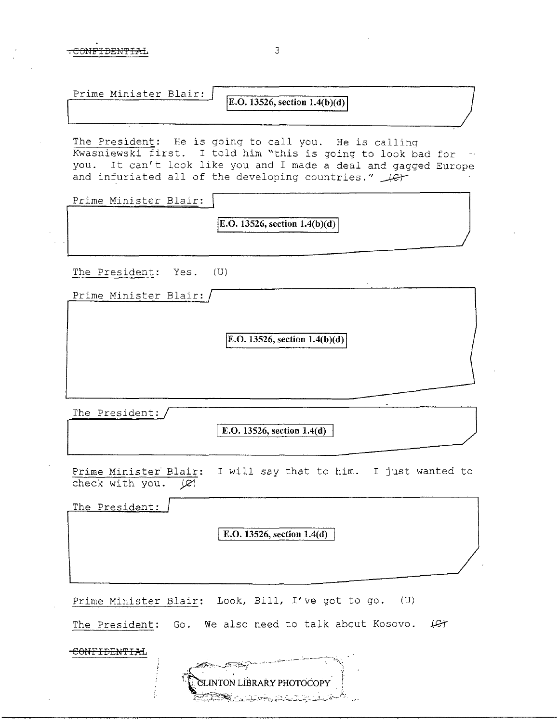| Prime Minister Blair: |                                  |
|-----------------------|----------------------------------|
|                       | [E.O. 13526, section $1.4(b)(d)$ |

The President: He is going to call you. He is calling Kwasniewski first. I told him "this is going to look bad for you. It can't look like you and I made a deal and gagged Europe and infuriated all of the developing countries."  $\downarrow$ 

Prime Minister Blair:

 $E.O. 13526$ , section  $1.4(b)(d)$ 

The President: Yes. (U)

| Prime Minister Blair: / |  |  |
|-------------------------|--|--|
|                         |  |  |
|                         |  |  |

 $E.O. 13526$ , section  $1.4(b)(d)$ 

The President:

I E.O. 13526, section 1.4(d)

Prime Minister Blair: I will say that to him. I just wanted to check with you.  $|C|$ 

The President: E.O.  $13526$ , section  $1.4(d)$ Prime Minister Blair: Look, Bill, I've got to go. (U) The President: Go. We also need to talk about Kosovo.  $\downarrow$  Gt -CONFIDENTIAL

LINTON LIBRARY PHOTOCOPY